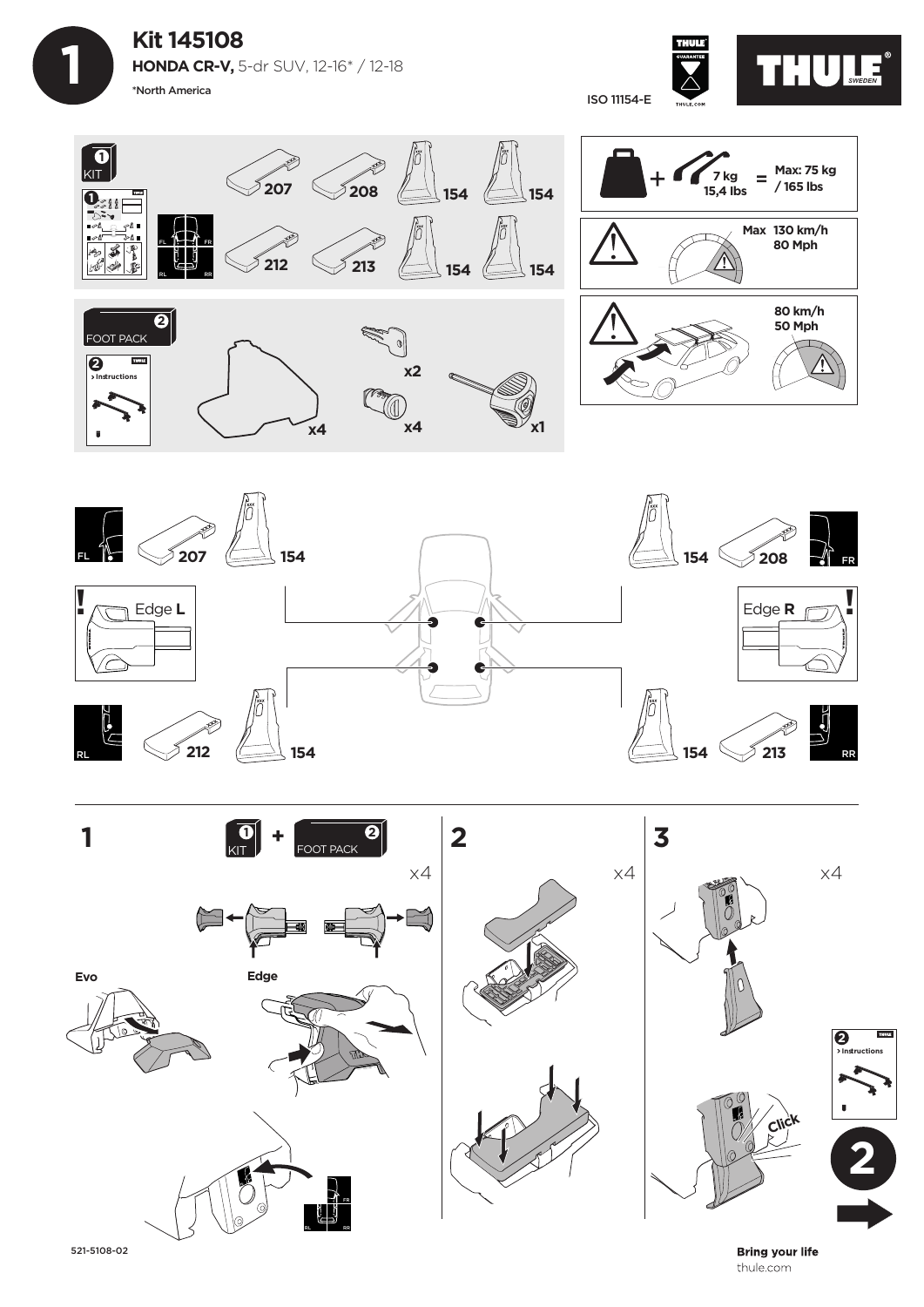**Kit 145108 HONDA CR-V,** 5-dr SUV, 12-16\* / 12-18 \*North America

 **1**









521-5108-02

**Bring your life** thule.com